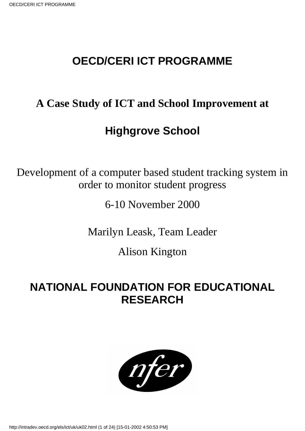# **OECD/CERI ICT PROGRAMME**

# **A Case Study of ICT and School Improvement at**

# **Highgrove School**

Development of a computer based student tracking system in order to monitor student progress

6-10 November 2000

Marilyn Leask, Team Leader

Alison Kington

# **NATIONAL FOUNDATION FOR EDUCATIONAL RESEARCH**

nfer

http://intradev.oecd.org/els/ict/uk/uk02.html (1 of 24) [15-01-2002 4:50:53 PM]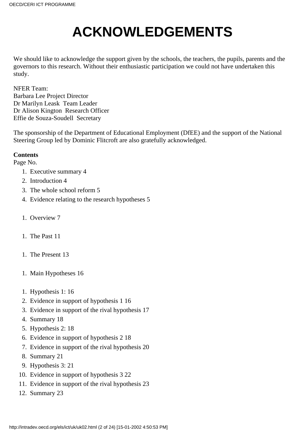# **ACKNOWLEDGEMENTS**

We should like to acknowledge the support given by the schools, the teachers, the pupils, parents and the governors to this research. Without their enthusiastic participation we could not have undertaken this study.

NFER Team: Barbara Lee Project Director Dr Marilyn Leask Team Leader Dr Alison Kington Research Officer Effie de Souza-Soudell Secretary

The sponsorship of the Department of Educational Employment (DfEE) and the support of the National Steering Group led by Dominic Flitcroft are also gratefully acknowledged.

# **Contents**

Page No.

- 1. Executive summary 4
- 2. Introduction 4
- 3. The whole school reform 5
- 4. Evidence relating to the research hypotheses 5
- 1. Overview 7
- 1. The Past 11.
- 1. The Present 13
- 1. Main Hypotheses 16
- 1. Hypothesis 1:16
- 2. Evidence in support of hypothesis 1 16
- 3. Evidence in support of the rival hypothesis 17
- 4. Summary 18
- 5. Hypothesis 2: 18
- 6. Evidence in support of hypothesis 2 18
- 7. Evidence in support of the rival hypothesis 20
- 8. Summary 21
- 9. Hypothesis 3: 21
- 10. Evidence in support of hypothesis 3 22
- 11. Evidence in support of the rival hypothesis 23
- 12. Summary 23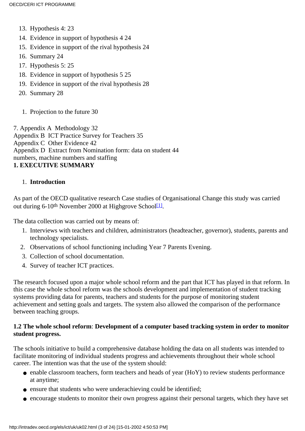- 13. Hypothesis 4: 23
- 14. Evidence in support of hypothesis 4 24
- 15. Evidence in support of the rival hypothesis 24
- 16. Summary 24
- 17. Hypothesis 5: 25
- 18. Evidence in support of hypothesis 5 25
- 19. Evidence in support of the rival hypothesis 28
- 20. Summary 28
	- 1. Projection to the future 30

7. Appendix A Methodology 32 Appendix B ICT Practice Survey for Teachers 35 Appendix C Other Evidence 42 Appendix D Extract from Nomination form: data on student 44 numbers, machine numbers and staffing **1. EXECUTIVE SUMMARY**

# 1. **Introduction**

<span id="page-2-0"></span>As part of the OECD qualitative research Case studies of Organisational Change this study was carried out during 6-10<sup>th</sup> November 2000 at Highgrove School<sup>[1]</sup>.

The data collection was carried out by means of:

- 1. Interviews with teachers and children, administrators (headteacher, governor), students, parents and technology specialists.
- 2. Observations of school functioning including Year 7 Parents Evening.
- 3. Collection of school documentation.
- 4. Survey of teacher ICT practices.

The research focused upon a major whole school reform and the part that ICT has played in that reform. In this case the whole school reform was the school s development and implementation of student tracking systems providing data for parents, teachers and students for the purpose of monitoring student achievement and setting goals and targets. The system also allowed the comparison of the performance between teaching groups.

# **1.2 The whole school reform**: **Development of a computer based tracking system in order to monitor student progress.**

The school s initiative to build a comprehensive database holding the data on all students was intended to facilitate monitoring of individual students progress and achievements throughout their whole school career. The intention was that the use of the system should:

- enable classroom teachers, form teachers and heads of year (HoY) to review students performance at anytime;
- ensure that students who were underachieving could be identified;
- encourage students to monitor their own progress against their personal targets, which they have set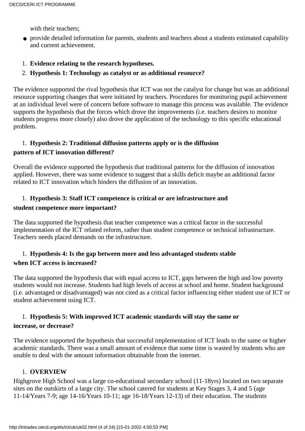with their teachers:

- provide detailed information for parents, students and teachers about a student s estimated capability and current achievement.
- 1. **Evidence relating to the research hypotheses.**
- 2. **Hypothesis 1: Technology as catalyst or as additional resource?**

The evidence supported the rival hypothesis that ICT was not the catalyst for change but was an additional resource supporting changes that were initiated by teachers. Procedures for monitoring pupil achievement at an individual level were of concern before software to manage this process was available. The evidence supports the hypothesis that the forces which drove the improvements (i.e. teachers desires to monitor students progress more closely) also drove the application of the technology to this specific educational problem.

# 1. **Hypothesis 2: Traditional diffusion patterns apply or is the diffusion pattern of ICT innovation different?**

Overall the evidence supported the hypothesis that traditional patterns for the diffusion of innovation applied. However, there was some evidence to suggest that a skills deficit maybe an additional factor related to ICT innovation which hinders the diffusion of an innovation.

# 1. **Hypothesis 3: Staff ICT competence is critical or are infrastructure and student competence more important?**

The data supported the hypothesis that teacher competence was a critical factor in the successful implementation of the ICT related reform, rather than student competence or technical infrastructure. Teachers needs placed demands on the infrastructure.

# 1. **Hypothesis 4: Is the gap between more and less advantaged students stable when ICT access is increased?**

The data supported the hypothesis that with equal access to ICT, gaps between the high and low poverty students would not increase. Students had high levels of access at school and home. Student background (i.e. advantaged or disadvantaged) was not cited as a critical factor influencing either student use of ICT or student achievement using ICT.

# 1. **Hypothesis 5: With improved ICT academic standards will stay the same or increase, or decrease?**

The evidence supported the hypothesis that successful implementation of ICT leads to the same or higher academic standards. There was a small amount of evidence that some time is wasted by students who are unable to deal with the amount information obtainable from the internet.

# 1. **OVERVIEW**

Highgrove High School was a large co-educational secondary school (11-18yrs) located on two separate sites on the outskirts of a large city. The school catered for students at Key Stages 3, 4 and 5 (age 11-14/Years 7-9; age 14-16/Years 10-11; age 16-18/Years 12-13) of their education. The students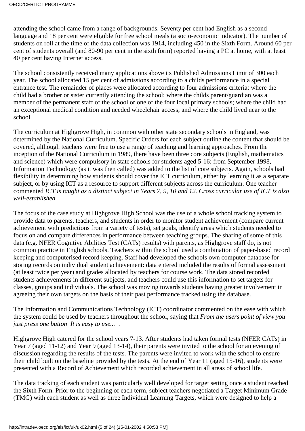attending the school came from a range of backgrounds. Seventy per cent had English as a second language and 18 per cent were eligible for free school meals (a socio-economic indicator). The number of students on roll at the time of the data collection was 1914, including 450 in the Sixth Form. Around 60 per cent of students overall (and 80-90 per cent in the sixth form) reported having a PC at home, with at least 40 per cent having Internet access.

The school consistently received many applications above its Published Admissions Limit of 300 each year. The school allocated 15 per cent of admissions according to a child s performance in a special entrance test. The remainder of places were allocated according to four admissions criteria: where the child had a brother or sister currently attending the school; where the child s parent/guardian was a member of the permanent staff of the school or one of the four local primary schools; where the child had an exceptional medical condition and needed wheelchair access; and where the child lived near to the school.

The curriculum at Highgrove High, in common with other state secondary schools in England, was determined by the National Curriculum. Specific Orders for each subject outline the content that should be covered, although teachers were free to use a range of teaching and learning approaches. From the inception of the National Curriculum in 1989, there have been three core subjects (English, mathematics and science) which were compulsory in state schools for students aged 5-16; from September 1998, Information Technology (as it was then called) was added to the list of core subjects. Again, schools had flexibility in determining how students should cover the ICT curriculum, either by learning it as a separate subject, or by using ICT as a resource to support different subjects across the curriculum. One teacher commented *ICT is taught as a distinct subject in Years 7, 9, 10 and 12. Cross curricular use of ICT is also well-established.*

The focus of the case study at Highgrove High School was the use of a whole school tracking system to provide data to parents, teachers, and students in order to monitor student achievement (compare current achievement with predictions from a variety of tests), set goals, identify areas which students needed to focus on and compare differences in performance between teaching groups. The sharing of some of this data (e.g. NFER Cognitive Abilities Test (CATs) results) with parents, as Highgrove staff do, is not common practice in English schools. Teachers within the school used a combination of paper-based record keeping and computerised record keeping. Staff had developed the schools own computer database for storing records on individual student achievement: data entered included the results of formal assessment (at least twice per year) and grades allocated by teachers for course work. The data stored recorded students achievements in different subjects, and teachers could use this information to set targets for classes, groups and individuals. The school was moving towards students having greater involvement in agreeing their own targets on the basis of their past performance tracked using the database.

The Information and Communications Technology (ICT) coordinator commented on the ease with which the system could be used by teachers throughout the school, saying that *From the users point of view you just press one button It is easy to use...*.

Highgrove High catered for the school years 7-13. After students had taken formal tests (NFER CATs) in Year 7 (aged 11-12) and Year 9 (aged 13-14), their parents were invited to the school for an evening of discussion regarding the results of the tests. The parents were invited to work with the school to ensure their child built on the baseline provided by the tests. At the end of Year 11 (aged 15-16), students were presented with a Record of Achievement which recorded achievement in all areas of school life.

The data tracking of each student was particularly well developed for target setting once a student reached the Sixth Form. Prior to the beginning of each term, subject teachers negotiated a Target Minimum Grade (TMG) with each student as well as three Individual Learning Targets, which were designed to help a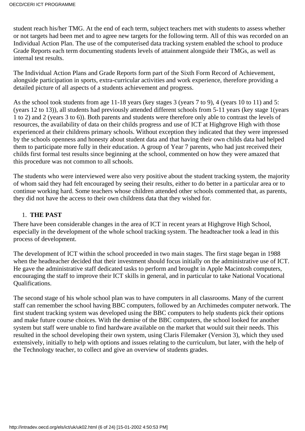student reach his/her TMG. At the end of each term, subject teachers met with students to assess whether or not targets had been met and to agree new targets for the following term. All of this was recorded on an Individual Action Plan. The use of the computerised data tracking system enabled the school to produce Grade Reports each term documenting students levels of attainment alongside their TMGs, as well as internal test results.

The Individual Action Plans and Grade Reports form part of the Sixth Form Record of Achievement, alongside participation in sports, extra-curricular activities and work experience, therefore providing a detailed picture of all aspects of a student s achievement and progress.

As the school took students from age 11-18 years (key stages 3 (years 7 to 9), 4 (years 10 to 11) and 5: (years 12 to 13)), all students had previously attended different schools from 5-11 years (key stage 1(years 1 to 2) and 2 (years 3 to 6)). Both parents and students were therefore only able to contrast the levels of resources, the availability of data on their child s progress and use of ICT at Highgrove High with those experienced at their children s primary schools. Without exception they indicated that they were impressed by the school s openness and honesty about student data and that having their own child s data had helped them to participate more fully in their education. A group of Year 7 parents, who had just received their childs first formal test results since beginning at the school, commented on how they were amazed that this procedure was not common to all schools.

The students who were interviewed were also very positive about the student tracking system, the majority of whom said they had felt encouraged by seeing their results, either to do better in a particular area or to continue working hard. Some teachers whose children attended other schools commented that, as parents, they did not have the access to their own children s data that they wished for.

# 1. **THE PAST**

There have been considerable changes in the area of ICT in recent years at Highgrove High School, especially in the development of the whole school tracking system. The headteacher took a lead in this process of development.

The development of ICT within the school proceeded in two main stages. The first stage began in 1988 when the headteacher decided that their investment should focus initially on the administrative use of ICT. He gave the administrative staff dedicated tasks to perform and brought in Apple Macintosh computers, encouraging the staff to improve their ICT skills in general, and in particular to take National Vocational Qualifications.

The second stage of his whole school plan was to have computers in all classrooms. Many of the current staff can remember the school having BBC computers, followed by an Archimedes computer network. The first student tracking system was developed using the BBC computers to help students pick their options and make future course choices. With the demise of the BBC computers, the school looked for another system but staff were unable to find hardware available on the market that would suit their needs. This resulted in the school developing their own system, using Claris Filemaker (Version 3), which they used extensively, initially to help with options and issues relating to the curriculum, but later, with the help of the Technology teacher, to collect and give an overview of students grades.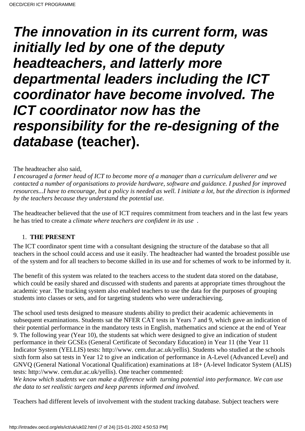# **The innovation in its current form, was initially led by one of the deputy headteachers, and latterly more departmental leaders including the ICT coordinator have become involved. The ICT coordinator now has the responsibility for the re-designing of the database (teacher).**

# The headteacher also said,

*I encouraged a former head of ICT to become more of a manager than a curriculum deliverer and we contacted a number of organisations to provide hardware, software and guidance. I pushed for improved resources...I have to encourage, but a policy is needed as well. I initiate a lot, but the direction is informed by the teachers because they understand the potential use.*

The headteacher believed that the use of ICT requires commitment from teachers and in the last few years he has tried to create a *climate where teachers are confident in its use*.

### 1. **THE PRESENT**

The ICT coordinator spent time with a consultant designing the structure of the database so that all teachers in the school could access and use it easily. The headteacher had wanted the broadest possible use of the system and for all teachers to become skilled in its use and for schemes of work to be informed by it.

The benefit of this system was related to the teachers access to the student data stored on the database, which could be easily shared and discussed with students and parents at appropriate times throughout the academic year. The tracking system also enabled teachers to use the data for the purposes of grouping students into classes or sets, and for targeting students who were underachieving.

The school used tests designed to measure students ability to predict their academic achievements in subsequent examinations. Students sat the NFER CAT tests in Years 7 and 9, which gave an indication of their potential performance in the mandatory tests in English, mathematics and science at the end of Year 9. The following year (Year 10), the students sat which were designed to give an indication of student performance in their GCSEs (General Certificate of Secondary Education) in Year 11 (the Year 11 Indicator System (YELLIS) tests: http://www. cem.dur.ac.uk/yellis). Students who studied at the schools sixth form also sat tests in Year 12 to give an indication of performance in A-Level (Advanced Level) and GNVQ (General National Vocational Qualification) examinations at 18+ (A-level Indicator System (ALIS) tests: http://www. cem.dur.ac.uk/yellis). One teacher commented:

*We know which students we can make a difference with turning potential into performance. We can use the data to set realistic targets and keep parents informed and involved.*

Teachers had different levels of involvement with the student tracking database. Subject teachers were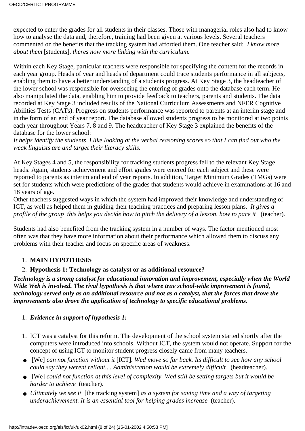expected to enter the grades for all students in their classes. Those with managerial roles also had to know how to analyse the data and, therefore, training had been given at various levels. Several teachers commented on the benefits that the tracking system had afforded them. One teacher said: *I know more about them* [students]*, theres now more linking with the curriculum.*

Within each Key Stage, particular teachers were responsible for specifying the content for the records in each year group. Heads of year and heads of department could trace students performance in all subjects, enabling them to have a better understanding of a student s progress. At Key Stage 3, the headteacher of the lower school was responsible for overseeing the entering of grades onto the database each term. He also manipulated the data, enabling him to provide feedback to teachers, parents and students. The data recorded at Key Stage 3 included results of the National Curriculum Assessments and NFER Cognitive Abilities Tests (CATs). Progress on students performance was reported to parents at an interim stage and in the form of an end of year report. The database allowed students progress to be monitored at two points each year throughout Years 7, 8 and 9. The headteacher of Key Stage 3 explained the benefits of the database for the lower school:

*It helps identify the students I like looking at the verbal reasoning scores so that I can find out who the weak linguists are and target their literacy skills.*

At Key Stages 4 and 5, the responsibility for tracking students progress fell to the relevant Key Stage heads. Again, students achievement and effort grades were entered for each subject and these were reported to parents as interim and end of year reports. In addition, Target Minimum Grades (TMGs) were set for students which were predictions of the grades that students would achieve in examinations at 16 and 18 years of age.

Other teachers suggested ways in which the system had improved their knowledge and understanding of ICT, as well as helped them in guiding their teaching practices and preparing lesson plans. *It gives a profile of the group this helps you decide how to pitch the delivery of a lesson, how to pace it (teacher).* 

Students had also benefited from the tracking system in a number of ways. The factor mentioned most often was that they have more information about their performance which allowed them to discuss any problems with their teacher and focus on specific areas of weakness.

# 1. **MAIN HYPOTHESIS**

# 2. **Hypothesis 1: Technology as catalyst or as additional resource?**

*Technology is a strong catalyst for educational innovation and improvement, especially when the World Wide Web is involved. The rival hypothesis is that where true school-wide improvement is found, technology served only as an additional resource and not as a catalyst, that the forces that drove the improvements also drove the application of technology to specific educational problems.*

# 1. *Evidence in support of hypothesis 1:*

- 1. ICT was a catalyst for this reform. The development of the school system started shortly after the computers were introduced into schools. Without ICT, the system would not operate. Support for the concept of using ICT to monitor student progress closely came from many teachers.
- [We] *can not function without it* [ICT]. We *d move so far back. It s difficult to see how any school could say they werent reliant.... Administration would be extremely difficult* (headteacher).
- [We] could not function at this level of complexity. We d still be setting targets but it would be *harder to achieve* (teacher).
- *Ultimately we see it* [the tracking system] as a system for saving time and a way of targeting *underachievement. It is an essential tool for helping grades increase* (teacher).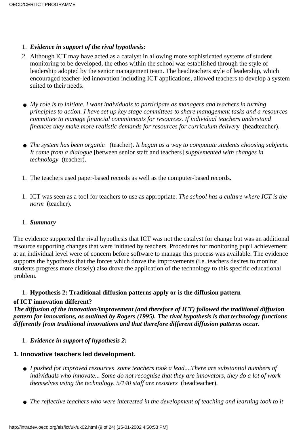- 1. *Evidence in support of the rival hypothesis:*
- Although ICT may have acted as a catalyst in allowing more sophisticated systems of student 2. monitoring to be developed, the ethos within the school was established through the style of leadership adopted by the senior management team. The headteacher s style of leadership, which encouraged teacher-led innovation including ICT applications, allowed teachers to develop a system suited to their needs.
- My role is to initiate. I want individuals to participate as managers and teachers in turning *principles to action. I have set up key stage committees to share management tasks and a resources committee to manage financial commitments for resources. If individual teachers understand finances they make more realistic demands for resources for curriculum delivery* (headteacher).
- *The system has been organic* (teacher). *It began as a way to computate students choosing subjects. It came from a dialogue* [between senior staff and teachers] *supplemented with changes in technology* (teacher).
- 1. The teachers used paper-based records as well as the computer-based records.
- 1. ICT was seen as a tool for teachers to use as appropriate: *The school has a culture where ICT is the norm* (teacher).

### 1. *Summary*

The evidence supported the rival hypothesis that ICT was not the catalyst for change but was an additional resource supporting changes that were initiated by teachers. Procedures for monitoring pupil achievement at an individual level were of concern before software to manage this process was available. The evidence supports the hypothesis that the forces which drove the improvements (i.e. teachers desires to monitor students progress more closely) also drove the application of the technology to this specific educational problem.

### 1. **Hypothesis 2: Traditional diffusion patterns apply or is the diffusion pattern**

### **of ICT innovation different?**

*The diffusion of the innovation/improvement (and therefore of ICT) followed the traditional diffusion pattern for innovations, as outlined by Rogers (1995). The rival hypothesis is that technology functions differently from traditional innovations and that therefore different diffusion patterns occur.*

1. *Evidence in support of hypothesis 2:*

# **1. Innovative teachers led development.**

- *I pushed for improved resources* some teachers took a lead....There are substantial numbers of *individuals who innovate... Some do not recognise that they are innovators, they do a lot of work themselves using the technology. 5/140 staff are resisters* (headteacher).
- *The reflective teachers who were interested in the development of teaching and learning took to it*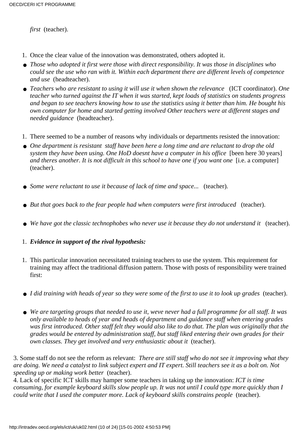*first* (teacher).

- 1. Once the clear value of the innovation was demonstrated, others adopted it.
- **•** Those who adopted it first were those with direct responsibility. It was those in disciplines who *could see the use who ran with it. Within each department there are different levels of competence and use* (headteacher).
- *Teachers who are resistant to using it will use it when shown the relevance* (ICT coordinator). *One teacher who turned against the IT when it was started, kept loads of statistics on students progress and began to see teachers knowing how to use the statistics using it better than him. He bought his own computer for home and started getting involved Other teachers were at different stages and needed guidance* (headteacher).
- 1. There seemed to be a number of reasons why individuals or departments resisted the innovation:
- One department is resistant staff have been here a long time and are reluctant to drop the old *system they have been using. One HoD doesn t have a computer in his office* [been here 30 years] *and there s another. It is not difficult in this school to have one if you want one* [i.e. a computer] (teacher).
- *Some were reluctant to use it because of lack of time and space...* (teacher).
- But that goes back to the fear people had when computers were first introduced (teacher).
- *We have got the classic technophobes who never use it because they do not understand it* (teacher).
- 1. *Evidence in support of the rival hypothesis:*
- 1. This particular innovation necessitated training teachers to use the system. This requirement for training may affect the traditional diffusion pattern. Those with posts of responsibility were trained first:
- *I did training with heads of year so they were some of the first to use it to look up grades* (teacher).
- **•** We are targeting groups that needed to use it, we ve never had a full programme for all staff. It was *only available to heads of year and heads of department and guidance staff when entering grades was first introduced. Other staff felt they would also like to do that. The plan was originally that the grades would be entered by administration staff, but staff liked entering their own grades for their own classes. They get involved and very enthusiastic about it* (teacher).

3. Some staff do not see the reform as relevant: *There are still staff who do not see it improving what they are doing. We need a catalyst to link subject expert and IT expert. Still teachers see it as a bolt on. Not speeding up or making work better* (teacher).

4. Lack of specific ICT skills may hamper some teachers in taking up the innovation: *ICT is time consuming, for example keyboard skills slow people up. It was not until I could type more quickly than I could write that I used the computer more. Lack of keyboard skills constrains people* (teacher).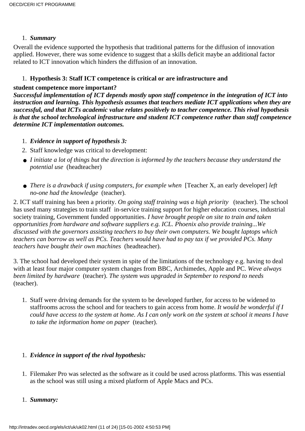# 1. *Summary*

Overall the evidence supported the hypothesis that traditional patterns for the diffusion of innovation applied. However, there was some evidence to suggest that a skills deficit maybe an additional factor related to ICT innovation which hinders the diffusion of an innovation.

# 1. **Hypothesis 3: Staff ICT competence is critical or are infrastructure and**

### **student competence more important?**

*Successful implementation of ICT depends mostly upon staff competence in the integration of ICT into instruction and learning. This hypothesis assumes that teachers mediate ICT applications when they are successful, and that ICT s academic value relates positively to teacher competence. This rival hypothesis is that the school technological infrastructure and student ICT competence rather than staff competence determine ICT implementation outcomes.*

- 1. *Evidence in support of hypothesis 3:*
- 2. Staff knowledge was critical to development:
- *I initiate a lot of things but the direction is informed by the teachers because they understand the potential use* (headteacher)
- *There is a drawback if using computers, for example when* [Teacher X, an early developer] *left no-one had the knowledge* (teacher)*.*

2. ICT staff training has been a priority. *On going staff training was a high priority* (teacher). The school has used many strategies to train staff in-service training support for higher education courses, industrial society training, Government funded opportunities. *I have brought people on site to train and taken opportunities from hardware and software suppliers e.g. ICL. Phoenix also provide training...We discussed with the governors assisting teachers to buy their own computers. We bought laptops which teachers can borrow as well as PCs. Teachers would have had to pay tax if we provided PCs. Many teachers have bought their own machines* (headteacher).

3. The school had developed their system in spite of the limitations of the technology e.g. having to deal with at least four major computer system changes from BBC, Archimedes, Apple and PC. We ve always *been limited by hardware* (teacher). *The system was upgraded in September to respond to needs* (teacher).

1. Staff were driving demands for the system to be developed further, for access to be widened to staffrooms across the school and for teachers to gain access from home. *It would be wonderful if I could have access to the system at home. As I can only work on the system at school it means I have to take the information home on paper* (teacher).

# 1. *Evidence in support of the rival hypothesis:*

- Filemaker Pro was selected as the software as it could be used across platforms. This was essential 1. as the school was still using a mixed platform of Apple Macs and PCs.
- 1. *Summary:*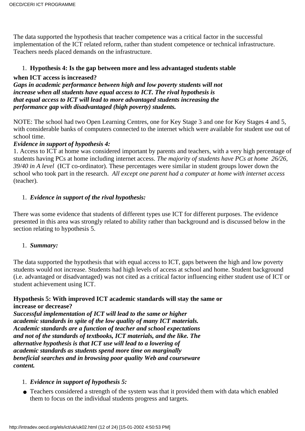The data supported the hypothesis that teacher competence was a critical factor in the successful implementation of the ICT related reform, rather than student competence or technical infrastructure. Teachers needs placed demands on the infrastructure.

# 1. **Hypothesis 4: Is the gap between more and less advantaged students stable**

# **when ICT access is increased?**

*Gaps in academic performance between high and low poverty students will not increase when all students have equal access to ICT. The rival hypothesis is that equal access to ICT will lead to more advantaged students increasing the performance gap with disadvantaged (high poverty) students.*

NOTE: The school had two Open Learning Centres, one for Key Stage 3 and one for Key Stages 4 and 5, with considerable banks of computers connected to the internet which were available for student use out of school time.

# *Evidence in support of hypothesis 4:*

1. Access to ICT at home was considered important by parents and teachers, with a very high percentage of students having PCs at home including internet access. *The majority of students have PCs at home 26/26, 39/40 in A level* (ICT co-ordinator). These percentages were similar in student groups lower down the school who took part in the research. *All except one parent had a computer at home with internet access* (teacher)*.*

# 1. *Evidence in support of the rival hypothesis:*

There was some evidence that students of different types use ICT for different purposes. The evidence presented in this area was strongly related to ability rather than background and is discussed below in the section relating to hypothesis 5.

### 1. *Summary:*

The data supported the hypothesis that with equal access to ICT, gaps between the high and low poverty students would not increase. Students had high levels of access at school and home. Student background (i.e. advantaged or disadvantaged) was not cited as a critical factor influencing either student use of ICT or student achievement using ICT.

#### **Hypothesis 5: With improved ICT academic standards will stay the same or increase or decrease?**

*Successful implementation of ICT will lead to the same or higher academic standards in spite of the low quality of many ICT materials. Academic standards are a function of teacher and school expectations and not of the standards of textbooks, ICT materials, and the like. The alternative hypothesis is that ICT use will lead to a lowering of academic standards as students spend more time on marginally beneficial searches and in browsing poor quality Web and courseware content.*

### 1. *Evidence in support of hypothesis 5:*

Teachers considered a strength of the system was that it provided them with data which enabled ● them to focus on the individual student s progress and targets.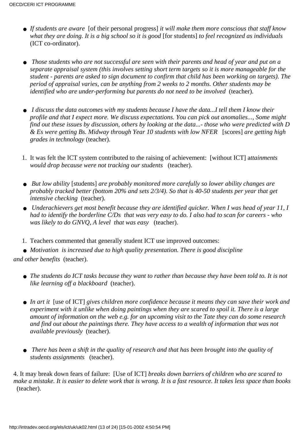- *If students are aware* [of their personal progress] *it will make them more conscious that staff know what they are doing. It is a big school so it is good* [for students] *to feel recognized as individuals* (ICT co-ordinator).
- **•** Those students who are not successful are seen with their parents and head of year and put on a *separate appraisal system (this involves setting short term targets so it is more manageable for the student - parents are asked to sign document to confirm that child has been working on targets). The period of appraisal varies, can be anything from 2 weeks to 2 months. Other students may be identified who are under-performing but parents do not need to be involved* (teacher).
- I discuss the data outcomes with my students because I have the data...I tell them I know their *profile and that I expect more. We discuss expectations. You can pick out anomalies..., Some might find out these issues by discussion, others by looking at the data...- those who were predicted with D & Es were getting Bs. Midway through Year 10 students with low NFER* [scores] *are getting high grades in technology* (teacher).
- 1. It was felt the ICT system contributed to the raising of achievement: [without ICT] attainments *would drop because were not tracking our students* (teacher).
- But low ability [students] are probably monitored more carefully so lower ability changes are *probably tracked better (bottom 20% and sets 2/3/4). So that is 40-50 students per year that get intensive checking* (teacher)*.*
- **•** Underachievers get most benefit because they are identified quicker. When I was head of year 11, I *had to identify the borderline C/Ds that was very easy to do. I also had to scan for careers - who was likely to do GNVQ, A level that was easy* (teacher).
- 1. Teachers commented that generally student ICT use improved outcomes:
- *Motivation is increased due to high quality presentation. There is good discipline*

*and other benefits* (teacher).

- **•** The students do ICT tasks because they want to rather than because they have been told to. It is not *like learning off a blackboard* (teacher).
- In art it [use of ICT] gives children more confidence because it means they can save their work and *experiment with it unlike when doing paintings when they are scared to spoil it. There is a large amount of information on the web e.g. for an upcoming visit to the Tate they can do some research and find out about the paintings there. They have access to a wealth of information that was not available previously* (teacher).
- **•** There has been a shift in the quality of research and that has been brought into the quality of *students assignments* (teacher).

4. It may break down fears of failure: [Use of ICT] *breaks down barriers of children who are scared to make a mistake. It is easier to delete work that is wrong. It is a fast resource. It takes less space than books* (teacher).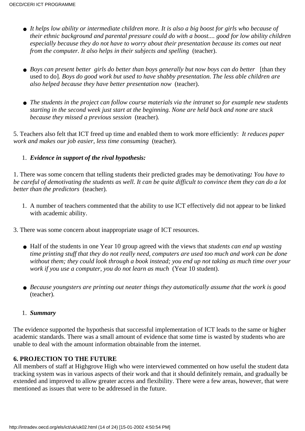- **•** It helps low ability or intermediate children more. It is also a big boost for girls who because of *their ethnic background and parental pressure could do with a boost.... good for low ability children especially because they do not have to worry about their presentation because its comes out neat from the computer. It also helps in their subjects and spelling* (teacher).
- **•** Boys can present better girls do better than boys generally but now boys can do better [than they used to do]*. Boys do good work but used to have shabby presentation. The less able children are also helped because they have better presentation now* (teacher).
- **•** The students in the project can follow course materials via the intranet so for example new students *starting in the second week just start at the beginning. None are held back and none are stuck because they missed a previous session* (teacher)*.*

5. Teachers also felt that ICT freed up time and enabled them to work more efficiently: *It reduces paper work and makes our job easier, less time consuming* (teacher).

# 1. *Evidence in support of the rival hypothesis:*

1. There was some concern that telling students their predicted grades may be demotivating*: You have to be careful of demotivating the students as well. It can be quite difficult to convince them they can do a lot better than the predictors* (teacher)*.*

- A number of teachers commented that the ability to use ICT effectively did not appear to be linked 1. with academic ability.
- 3. There was some concern about inappropriate usage of ICT resources.
	- Half of the students in one Year 10 group agreed with the views that *students can end up wasting time printing stuff that they do not really need, computers are used too much and work can be done without them; they could look through a book instead; you end up not taking as much time over your work if you use a computer, you do not learn as much* (Year 10 student).
	- Because youngsters are printing out neater things they automatically assume that the work is good (teacher)*.*
	- 1. *Summary*

The evidence supported the hypothesis that successful implementation of ICT leads to the same or higher academic standards. There was a small amount of evidence that some time is wasted by students who are unable to deal with the amount information obtainable from the internet.

# **6. PROJECTION TO THE FUTURE**

All members of staff at Highgrove High who were interviewed commented on how useful the student data tracking system was in various aspects of their work and that it should definitely remain, and gradually be extended and improved to allow greater access and flexibility. There were a few areas, however, that were mentioned as issues that were to be addressed in the future.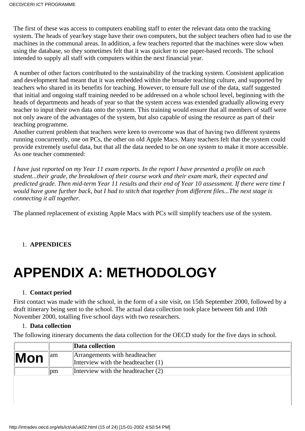The first of these was access to computers enabling staff to enter the relevant data onto the tracking system. The heads of year/key stage have their own computers, but the subject teachers often had to use the machines in the communal areas. In addition, a few teachers reported that the machines were slow when using the database, so they sometimes felt that it was quicker to use paper-based records. The school intended to supply all staff with computers within the next financial year.

A number of other factors contributed to the sustainability of the tracking system. Consistent application and development had meant that it was embedded within the broader teaching culture, and supported by teachers who shared in its benefits for teaching. However, to ensure full use of the data, staff suggested that initial and ongoing staff training needed to be addressed on a whole school level, beginning with the heads of departments and heads of year so that the system access was extended gradually allowing every teacher to input their own data onto the system. This training would ensure that all members of staff were not only aware of the advantages of the system, but also capable of using the resource as part of their teaching programme.

Another current problem that teachers were keen to overcome was that of having two different systems running concurrently, one on PCs, the other on old Apple Macs. Many teachers felt that the system could provide extremely useful data, but that all the data needed to be on one system to make it more accessible. As one teacher commented:

*I have just reported on my Year 11 exam reports. In the report I have presented a profile on each student...their grade, the breakdown of their course work and their exam mark, their expected and predicted grade. Then mid-term Year 11 results and their end of Year 10 assessment. If there were time I would have gone further back, but I had to stitch that together from different files...The next stage is connecting it all together.*

The planned replacement of existing Apple Macs with PCs will simplify teachers use of the system.

# 1. **APPENDICES**

# **APPENDIX A: METHODOLOGY**

### 1. **Contact period**

First contact was made with the school, in the form of a site visit, on 15th September 2000, followed by a draft itinerary being sent to the school. The actual data collection took place between 6th and 10th November 2000, totalling five school days with two researchers.

### 1. **Data collection**

The following itinerary documents the data collection for the OECD study for the five days in school.

|     |     | Data collection                                                       |  |
|-----|-----|-----------------------------------------------------------------------|--|
| Mon | 1am | Arrangements with headteacher<br>Interview with the headteacher $(1)$ |  |
|     | pm  | Interview with the headteacher $(2)$                                  |  |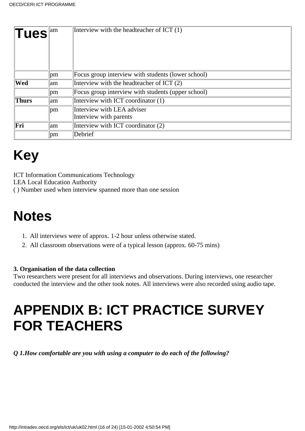| $\Vert \mathsf{Tues} \Vert^{\text{am}}$ |               | Interview with the headteacher of ICT (1)          |
|-----------------------------------------|---------------|----------------------------------------------------|
|                                         | <sub>pm</sub> | Focus group interview with students (lower school) |
| Wed                                     | lam           | Interview with the headteacher of ICT (2)          |
|                                         | <sub>pm</sub> | Focus group interview with students (upper school) |
| <b>Thurs</b>                            | lam           | Interview with ICT coordinator (1)                 |
|                                         | pm            | Interview with LEA adviser                         |
|                                         |               | Interview with parents                             |
| Fri                                     | am            | Interview with ICT coordinator (2)                 |
|                                         | pm            | Debrief                                            |

# **Key**

ICT Information Communications Technology LEA Local Education Authority ( ) Number used when interview spanned more than one session

# **Notes**

- 1. All interviews were of approx. 1-2 hour unless otherwise stated.
- All classroom observations were of a typical lesson (approx. 60-75 mins)2.

# **3. Organisation of the data collection**

Two researchers were present for all interviews and observations. During interviews, one researcher conducted the interview and the other took notes. All interviews were also recorded using audio tape.

# **APPENDIX B: ICT PRACTICE SURVEY FOR TEACHERS**

*Q 1.How comfortable are you with using a computer to do each of the following?*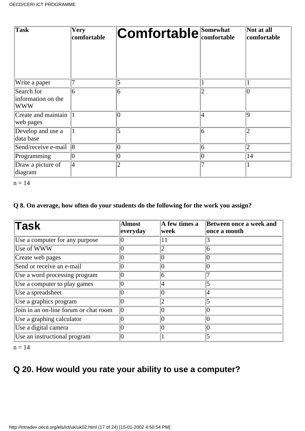| <b>Task</b>                                    | Very<br>comfortable | <b>Comfortable</b> Somewhat |    | Not at all<br>comfortable |
|------------------------------------------------|---------------------|-----------------------------|----|---------------------------|
| Write a paper                                  |                     | 5                           |    |                           |
| Search for<br>information on the<br><b>WWW</b> | 6                   | 6                           |    |                           |
| Create and maintain 1<br>web pages             |                     | $\overline{0}$              | 14 | ۱q                        |
| Develop and use a<br>data base                 |                     | 5                           | 6  |                           |
| Send/receive e-mail                            | $\overline{8}$      | $\overline{0}$              | 6  | $\overline{2}$            |
| Programming                                    | 0                   | $\theta$                    |    | 14                        |
| Draw a picture of<br>diagram                   | 4                   | $\overline{2}$              |    |                           |

```
n = 14
```
# **Q 8. On average, how often do your students do the following for the work you assign?**

| <b>Task</b>                           | <b>Almost</b><br>everyday | A few times a<br>week | Between once a week and<br>once a month |
|---------------------------------------|---------------------------|-----------------------|-----------------------------------------|
| Use a computer for any purpose        |                           |                       |                                         |
| Use of WWW                            |                           |                       | 6                                       |
| Create web pages                      |                           |                       |                                         |
| Send or receive an e-mail             |                           |                       |                                         |
| Use a word processing program         |                           | 6                     |                                         |
| Use a computer to play games          |                           |                       |                                         |
| Use a spreadsheet                     |                           |                       |                                         |
| Use a graphics program                | 0                         |                       |                                         |
| Join in an on-line forum or chat room | 10                        |                       |                                         |
| Use a graphing calculator             |                           |                       |                                         |
| Use a digital camera                  |                           |                       |                                         |
| Use an instructional program          |                           |                       |                                         |

 $n = 14$ 

# **Q 20. How would you rate your ability to use a computer?**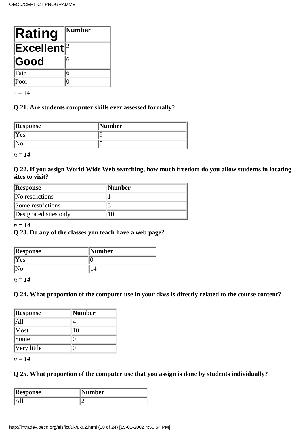| Rating                   | Number |
|--------------------------|--------|
| $ \mathsf{Excellent} ^2$ |        |
| Good                     | 6      |
| Fair                     | 6      |
| Poor                     |        |

 $n = 14$ 

# **Q 21. Are students computer skills ever assessed formally?**

| Response | <b>Number</b> |
|----------|---------------|
| Yes      |               |
|          |               |

*n = 14*

**Q 22. If you assign World Wide Web searching, how much freedom do you allow students in locating sites to visit?**

| <b>Response</b>       | <b>Number</b> |
|-----------------------|---------------|
| No restrictions       |               |
| Some restrictions     |               |
| Designated sites only |               |

# *n = 14*

# **Q 23. Do any of the classes you teach have a web page?**

| Response | Number |
|----------|--------|
| Yes      |        |
|          |        |

*n = 14*

# **Q 24. What proportion of the computer use in your class is directly related to the course content?**

| Response    | Number |
|-------------|--------|
| A11         |        |
| Most        | 10     |
| <i>Some</i> |        |
| Very little |        |

*n = 14*

# **Q 25. What proportion of the computer use that you assign is done by students individually?**

| Response | $\ $ Number |  |
|----------|-------------|--|
|          |             |  |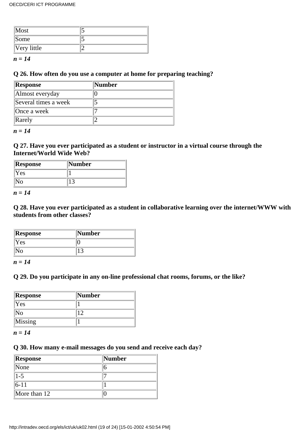| $\sqrt{\text{Most}}$ |  |
|----------------------|--|
| Some                 |  |
| $ V$ ery little      |  |

*n = 14*

# **Q 26. How often do you use a computer at home for preparing teaching?**

| Response             | Number |
|----------------------|--------|
| Almost everyday      |        |
| Several times a week |        |
| Once a week          |        |
| Rarely               |        |

*n = 14*

# **Q 27. Have you ever participated as a student or instructor in a virtual course through the Internet/World Wide Web?**

| <b>  Response</b> | Number |
|-------------------|--------|
| Yes               |        |
|                   |        |

*n = 14*

**Q 28. Have you ever participated as a student in collaborative learning over the internet/WWW with students from other classes?**

| Response | <b>Number</b> |
|----------|---------------|
| Yes      |               |
|          |               |

*n = 14*

# **Q 29. Do you participate in any on-line professional chat rooms, forums, or the like?**

| Response | Number |
|----------|--------|
| Yes      |        |
| lNo      |        |
| Missing  |        |

*n = 14*

# **Q 30. How many e-mail messages do you send and receive each day?**

| Response       | Number |
|----------------|--------|
| None           |        |
| $1 - 5$        |        |
| $ 6-11 $       |        |
| More than $12$ |        |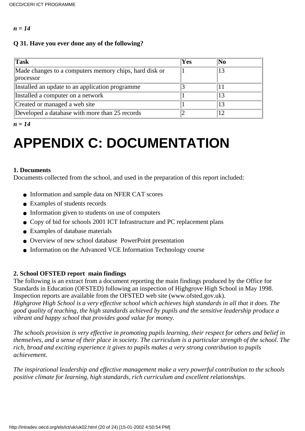#### *n = 14*

# **Q 31. Have you ever done any of the following?**

| Task                                                   | Yes | $\mathbf{N_0}$ |
|--------------------------------------------------------|-----|----------------|
| Made changes to a computers memory chips, hard disk or |     | 13             |
| processor                                              |     |                |
| Installed an update to an application programme        |     |                |
| Installed a computer on a network                      |     | 13             |
| Created or managed a web site                          |     | 13             |
| Developed a database with more than 25 records         |     | 12             |

*n = 14*

# **APPENDIX C: DOCUMENTATION**

### **1. Documents**

Documents collected from the school, and used in the preparation of this report included:

- Information and sample data on NFER CAT scores
- Examples of students records
- Information given to students on use of computers
- Copy of bid for schools 2001 ICT Infrastructure and PC replacement plans
- Examples of database materials
- Overview of new school database PowerPoint presentation
- Information on the Advanced VCE Information Technology course

# **2. School OFSTED report main findings**

The following is an extract from a document reporting the main findings produced by the Office for Standards in Education (OFSTED) following an inspection of Highgrove High School in May 1998. Inspection reports are available from the OFSTED web site (www.ofsted.gov.uk). *Highgrove High School is a very effective school which achieves high standards in all that it does. The good quality of teaching, the high standards achieved by pupils and the sensitive leadership produce a vibrant and happy school that provides good value for money.*

*The schools provision is very effective in promoting pupils learning, their respect for others and belief in themselves, and a sense of their place in society. The curriculum is a particular strength of the school. The rich, broad and exciting experience it gives to pupils makes a very strong contribution to pupils achievement.*

*The inspirational leadership and effective management make a very powerful contribution to the schools positive climate for learning, high standards, rich curriculum and excellent relationships.*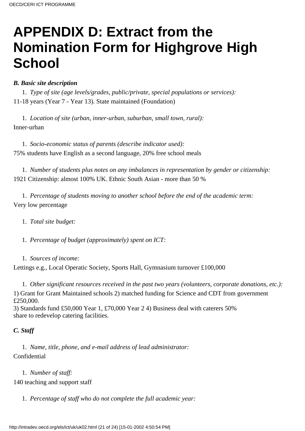# **APPENDIX D: Extract from the Nomination Form for Highgrove High School**

# *B. Basic site description*

1. *Type of site (age levels/grades, public/private, special populations or services):* 11-18 years (Year 7 - Year 13). State maintained (Foundation)

1. *Location of site (urban, inner-urban, suburban, small town, rural):* Inner-urban

1. *Socio-economic status of parents (describe indicator used):* 75% students have English as a second language, 20% free school meals

1. *Number of students plus notes on any imbalances in representation by gender or citizenship:* 1921 Citizenship: almost 100% UK. Ethnic South Asian - more than 50 %

1. *Percentage of students moving to another school before the end of the academic term:* Very low percentage

1. *Total site budget:*

1. *Percentage of budget (approximately) spent on ICT:*

1. *Sources of income:*

Lettings e.g., Local Operatic Society, Sports Hall, Gymnasium turnover £100,000

1. *Other significant resources received in the past two years (volunteers, corporate donations, etc.):*

1) Grant for Grant Maintained schools 2) matched funding for Science and CDT from government £250,000.

3) Standards fund £50,000 Year 1, £70,000 Year 2 4) Business deal with caterers 50% share to redevelop catering facilities.

# *C. Staff*

1. *Name, title, phone, and e-mail address of lead administrator:* Confidential

1. *Number of staff:*

140 teaching and support staff

1. *Percentage of staff who do not complete the full academic year:*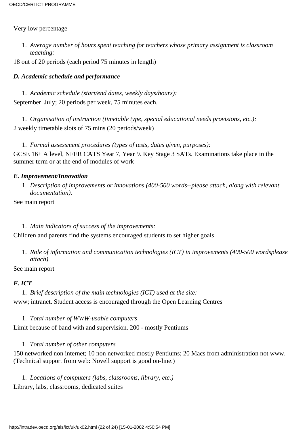### Very low percentage

*Average number of hours spent teaching for teachers whose primary assignment is classroom* 1. *teaching:*

18 out of 20 periods (each period 75 minutes in length)

# *D. Academic schedule and performance*

1. *Academic schedule (start/end dates, weekly days/hours):* September July; 20 periods per week, 75 minutes each.

1. *Organisation of instruction (timetable type, special educational needs provisions, etc.):* 2 weekly timetable slots of 75 mins (20 periods/week)

1. *Formal assessment procedures (types of tests, dates given, purposes):*

GCSE 16+ A level, NFER CATS Year 7, Year 9. Key Stage 3 SATs. Examinations take place in the summer term or at the end of modules of work

# *E. Improvement/Innovation*

*Description of improvements or innovations (400-500 words--please attach, along with relevant* 1. *documentation).*

See main report

### 1. *Main indicators of success of the improvements:*

Children and parents find the systems encouraged students to set higher goals.

1. Role of information and communication technologies (ICT) in improvements (400-500 words please *attach).*

### See main report

### *F. ICT*

# 1. *Brief description of the main technologies (ICT) used at the site:*

www; intranet. Student access is encouraged through the Open Learning Centres

### 1. *Total number of WWW-usable computers*

Limit because of band with and supervision. 200 - mostly Pentiums

# 1. *Total number of other computers*

150 networked non internet; 10 non networked mostly Pentiums; 20 Macs from administration not www. (Technical support from web: Novell support is good on-line.)

1. *Locations of computers (labs, classrooms, library, etc.)* Library, labs, classrooms, dedicated suites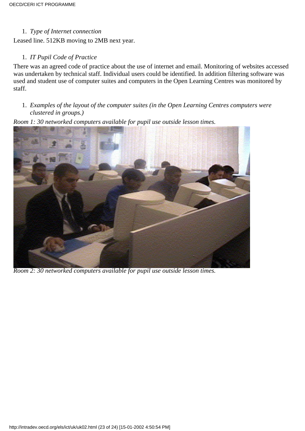### 1. *Type of Internet connection*

Leased line. 512KB moving to 2MB next year.

# 1. *IT Pupil Code of Practice*

There was an agreed code of practice about the use of internet and email. Monitoring of websites accessed was undertaken by technical staff. Individual users could be identified. In addition filtering software was used and student use of computer suites and computers in the Open Learning Centres was monitored by staff.

*Examples of the layout of the computer suites (in the Open Learning Centres computers were* 1. *clustered in groups.)*



*Room 1: 30 networked computers available for pupil use outside lesson times.*

*Room 2: 30 networked computers available for pupil use outside lesson times.*